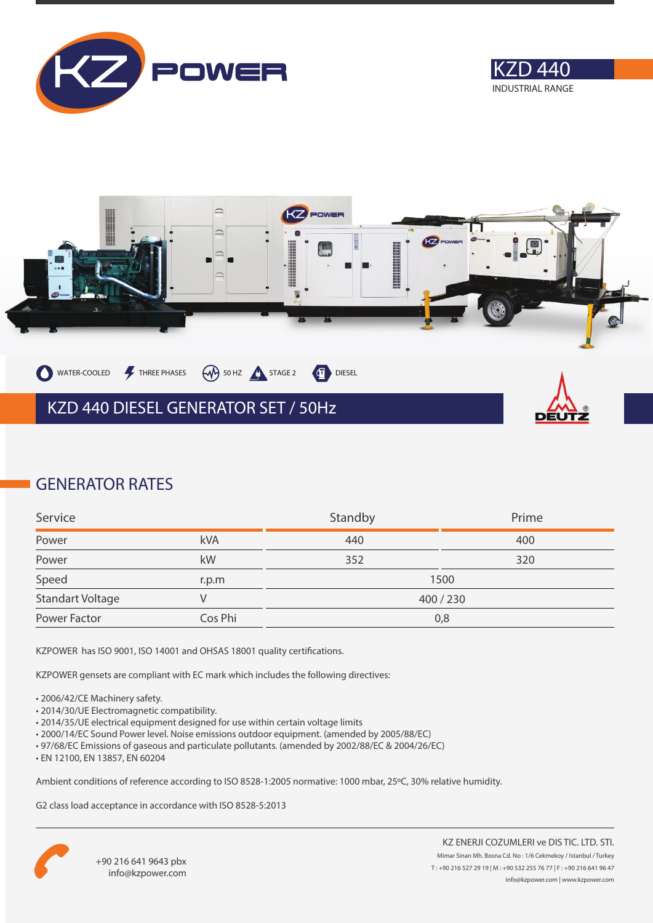





### **GENERATOR RATES**

| Service          |         | Standby | Prime   |
|------------------|---------|---------|---------|
| Power            | kVA     | 440     | 400     |
| Power            | kW      | 352     | 320     |
| Speed            | r.p.m   |         | 1500    |
| Standart Voltage |         |         | 400/230 |
| Power Factor     | Cos Phi |         | 0,8     |

KZPOWER has ISO 9001, ISO 14001 and OHSAS 18001 quality certifications.

KZPOWER gensets are compliant with EC mark which includes the following directives:

- 2006/42/CE Machinery safety.
- 2014/30/UE Electromagnetic compatibility.
- 2014/35/UE electrical equipment designed for use within certain voltage limits
- 2000/14/EC Sound Power level. Noise emissions outdoor equipment. (amended by 2005/88/EC)
- 97/68/EC Emissions of gaseous and particulate pollutants. (amended by 2002/88/EC & 2004/26/EC)
- EN 12100, EN 13857, EN 60204

Ambient conditions of reference according to ISO 8528-1:2005 normative: 1000 mbar, 25ºC, 30% relative humidity.

G2 class load acceptance in accordance with ISO 8528-5:2013

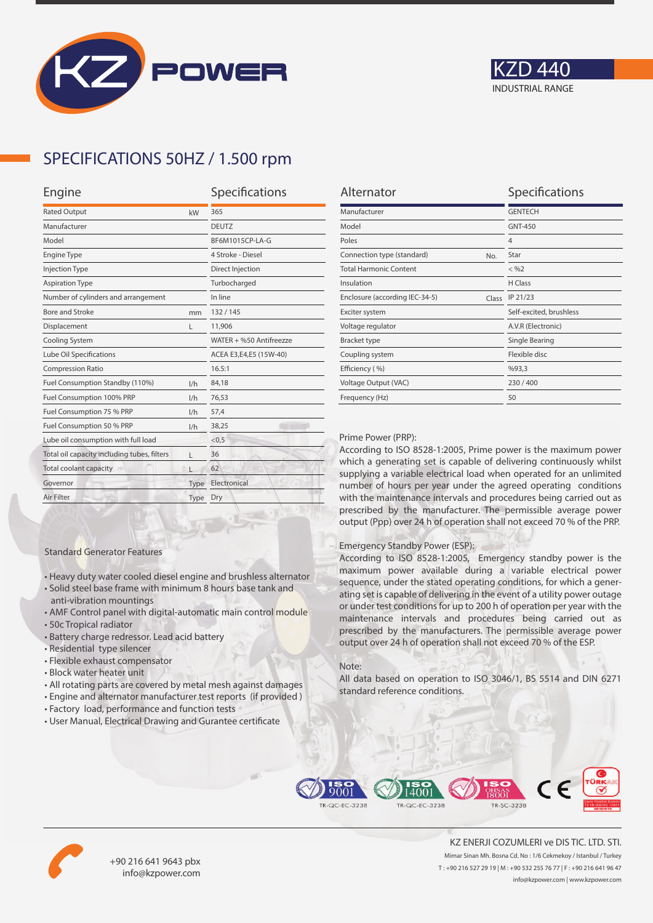



## **SPECIFICATIONS 50HZ / 1.500 rpm**

| Engine                                      |      | Specifications          |  |
|---------------------------------------------|------|-------------------------|--|
| <b>Rated Output</b>                         | kW   | 365                     |  |
| Manufacturer                                |      | <b>DEUTZ</b>            |  |
| Model                                       |      | BF6M1015CP-LA-G         |  |
| <b>Engine Type</b>                          |      | 4 Stroke - Diesel       |  |
| <b>Injection Type</b>                       |      | Direct Injection        |  |
| <b>Aspiration Type</b>                      |      | Turbocharged            |  |
| Number of cylinders and arrangement         |      | In line                 |  |
| <b>Bore and Stroke</b>                      | mm   | 132/145                 |  |
| Displacement                                | L    | 11,906                  |  |
| Cooling System                              |      | WATER + %50 Antifreezze |  |
| Lube Oil Specifications                     |      | ACEA E3,E4,E5 (15W-40)  |  |
| <b>Compression Ratio</b>                    |      | 16.5:1                  |  |
| Fuel Consumption Standby (110%)             | 1/h  | 84,18                   |  |
| Fuel Consumption 100% PRP                   | 1/h  | 76,53                   |  |
| Fuel Consumption 75 % PRP                   | 1/h  | 57,4                    |  |
| Fuel Consumption 50 % PRP<br>1/h            |      | 38,25                   |  |
| Lube oil consumption with full load         |      | < 0, 5                  |  |
| Total oil capacity including tubes, filters | г    | 36                      |  |
| Total coolant capacity                      |      | 62                      |  |
| Governor                                    | Type | Electronical            |  |
| Air Filter                                  | Type | Dry                     |  |
|                                             |      |                         |  |

| Alternator                              | Specifications          |
|-----------------------------------------|-------------------------|
| Manufacturer                            | <b>GENTECH</b>          |
| Model                                   | <b>GNT-450</b>          |
| Poles                                   | $\overline{4}$          |
| Connection type (standard)<br>No.       | Star                    |
| <b>Total Harmonic Content</b>           | $<$ %2                  |
| Insulation                              | H Class                 |
| Enclosure (according IEC-34-5)<br>Class | IP 21/23                |
| Exciter system                          | Self-excited, brushless |
| Voltage regulator                       | A.V.R (Electronic)      |
| <b>Bracket type</b>                     | Single Bearing          |
| Coupling system                         | Flexible disc           |
| Efficiency (%)                          | %93,3                   |
| Voltage Output (VAC)                    | 230/400                 |
| Frequency (Hz)                          | 50                      |

#### Prime Power (PRP):

According to ISO 8528-1:2005, Prime power is the maximum power which a generating set is capable of delivering continuously whilst supplying a variable electrical load when operated for an unlimited number of hours per year under the agreed operating conditions with the maintenance intervals and procedures being carried out as prescribed by the manufacturer. The permissible average power output (Ppp) over 24 h of operation shall not exceed 70 % of the PRP.

#### Emergency Standby Power (ESP):

According to ISO 8528-1:2005, Emergency standby power is the maximum power available during a variable electrical power sequence, under the stated operating conditions, for which a generating set is capable of delivering in the event of a utility power outage or under test conditions for up to 200 h of operation per year with the maintenance intervals and procedures being carried out as prescribed by the manufacturers. The permissible average power output over 24 h of operation shall not exceed 70 % of the ESP.

#### Note:

All data based on operation to ISO 3046/1, BS 5514 and DIN 6271 standard reference conditions.



• All rotating parts are covered by metal mesh against damages

• Heavy duty water cooled diesel engine and brushless alternator • Solid steel base frame with minimum 8 hours base tank and

• AMF Control panel with digital-automatic main control module

• User Manual, Electrical Drawing and Gurantee certificate

Standard Generator Features

anti-vibration mountings

• Residential type silencer • Flexible exhaust compensator • Block water heater unit

• Battery charge redressor. Lead acid battery

• 50c Tropical radiator





+90 216 641 9643 pbx info@kzpower.com

KZ ENERJI COZUMLERI ve DIS TIC. LTD. STI. Mimar Sinan Mh. Bosna Cd. No : 1/6 Cekmekoy / Istanbul / Turkey T : +90 216 527 29 19 | M : +90 532 255 76 77 | F : +90 216 641 96 47 info@kzpower.com | www.kzpower.com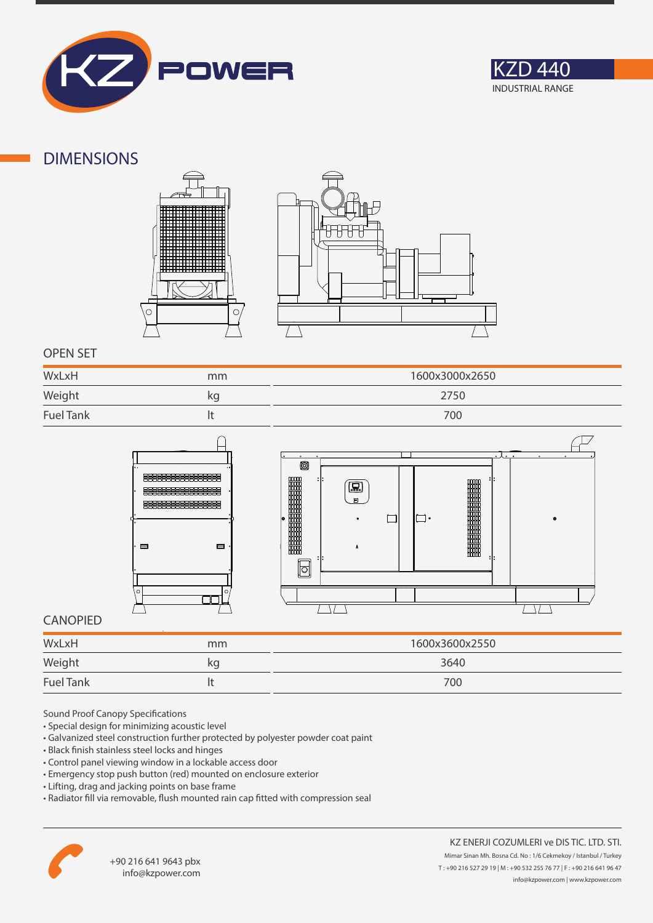



### **DIMENSIONS**





### **OPEN SET**

| WxLxH<br>______  | mm | 1600x3000x2650 |
|------------------|----|----------------|
| Weight           | kg | 2750           |
| <b>Fuel Tank</b> |    | 700            |





### **CANOPIED**

| WxLxH            | mm | 1600x3600x2550 |
|------------------|----|----------------|
| Weight           | кg | 3640           |
| <b>Fuel Tank</b> |    | 700            |

Sound Proof Canopy Specifications

- Special design for minimizing acoustic level
- Galvanized steel construction further protected by polyester powder coat paint
- Black finish stainless steel locks and hinges
- Control panel viewing window in a lockable access door
- Emergency stop push button (red) mounted on enclosure exterior
- Lifting, drag and jacking points on base frame
- Radiator fill via removable, flush mounted rain cap fitted with compression seal